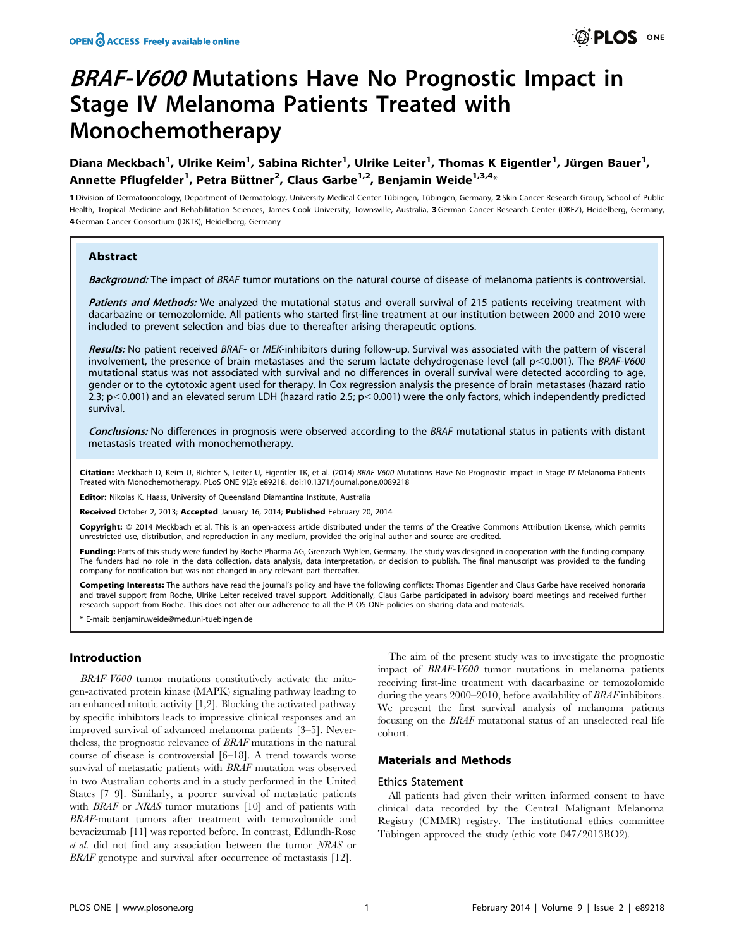# BRAF-V600 Mutations Have No Prognostic Impact in Stage IV Melanoma Patients Treated with Monochemotherapy

Diana Meckbach<sup>1</sup>, Ulrike Keim<sup>1</sup>, Sabina Richter<sup>1</sup>, Ulrike Leiter<sup>1</sup>, Thomas K Eigentler<sup>1</sup>, Jürgen Bauer<sup>1</sup>, Annette Pflugfelder<sup>1</sup>, Petra Büttner<sup>2</sup>, Claus Garbe<sup>1,2</sup>, Benjamin Weide<sup>1,3,4</sup>\*

1 Division of Dermatooncology, Department of Dermatology, University Medical Center Tübingen, Tübingen, Germany, 2 Skin Cancer Research Group, School of Public Health, Tropical Medicine and Rehabilitation Sciences, James Cook University, Townsville, Australia, 3 German Cancer Research Center (DKFZ), Heidelberg, Germany, 4 German Cancer Consortium (DKTK), Heidelberg, Germany

# Abstract

Background: The impact of BRAF tumor mutations on the natural course of disease of melanoma patients is controversial.

Patients and Methods: We analyzed the mutational status and overall survival of 215 patients receiving treatment with dacarbazine or temozolomide. All patients who started first-line treatment at our institution between 2000 and 2010 were included to prevent selection and bias due to thereafter arising therapeutic options.

Results: No patient received BRAF- or MEK-inhibitors during follow-up. Survival was associated with the pattern of visceral involvement, the presence of brain metastases and the serum lactate dehydrogenase level (all  $p<0.001$ ). The BRAF-V600 mutational status was not associated with survival and no differences in overall survival were detected according to age, gender or to the cytotoxic agent used for therapy. In Cox regression analysis the presence of brain metastases (hazard ratio 2.3; p $<$ 0.001) and an elevated serum LDH (hazard ratio 2.5; p $<$ 0.001) were the only factors, which independently predicted survival.

Conclusions: No differences in prognosis were observed according to the BRAF mutational status in patients with distant metastasis treated with monochemotherapy.

Citation: Meckbach D, Keim U, Richter S, Leiter U, Eigentler TK, et al. (2014) BRAF-V600 Mutations Have No Prognostic Impact in Stage IV Melanoma Patients Treated with Monochemotherapy. PLoS ONE 9(2): e89218. doi:10.1371/journal.pone.0089218

Editor: Nikolas K. Haass, University of Queensland Diamantina Institute, Australia

Received October 2, 2013; Accepted January 16, 2014; Published February 20, 2014

Copyright: @ 2014 Meckbach et al. This is an open-access article distributed under the terms of the [Creative Commons Attribution License](http://creativecommons.org/licenses/by/4.0/), which permits unrestricted use, distribution, and reproduction in any medium, provided the original author and source are credited.

Funding: Parts of this study were funded by Roche Pharma AG, Grenzach-Wyhlen, Germany. The study was designed in cooperation with the funding company. The funders had no role in the data collection, data analysis, data interpretation, or decision to publish. The final manuscript was provided to the funding company for notification but was not changed in any relevant part thereafter.

Competing Interests: The authors have read the journal's policy and have the following conflicts: Thomas Eigentler and Claus Garbe have received honoraria and travel support from Roche, Ulrike Leiter received travel support. Additionally, Claus Garbe participated in advisory board meetings and received further research support from Roche. This does not alter our adherence to all the PLOS ONE policies on sharing data and materials.

\* E-mail: benjamin.weide@med.uni-tuebingen.de

# Introduction

BRAF-V600 tumor mutations constitutively activate the mitogen-activated protein kinase (MAPK) signaling pathway leading to an enhanced mitotic activity [1,2]. Blocking the activated pathway by specific inhibitors leads to impressive clinical responses and an improved survival of advanced melanoma patients [3–5]. Nevertheless, the prognostic relevance of BRAF mutations in the natural course of disease is controversial [6–18]. A trend towards worse survival of metastatic patients with BRAF mutation was observed in two Australian cohorts and in a study performed in the United States [7–9]. Similarly, a poorer survival of metastatic patients with *BRAF* or *NRAS* tumor mutations [10] and of patients with BRAF-mutant tumors after treatment with temozolomide and bevacizumab [11] was reported before. In contrast, Edlundh-Rose et al. did not find any association between the tumor NRAS or BRAF genotype and survival after occurrence of metastasis [12].

The aim of the present study was to investigate the prognostic impact of BRAF-V600 tumor mutations in melanoma patients receiving first-line treatment with dacarbazine or temozolomide during the years 2000–2010, before availability of BRAF inhibitors. We present the first survival analysis of melanoma patients focusing on the BRAF mutational status of an unselected real life cohort.

# Materials and Methods

## Ethics Statement

All patients had given their written informed consent to have clinical data recorded by the Central Malignant Melanoma Registry (CMMR) registry. The institutional ethics committee Tübingen approved the study (ethic vote 047/2013BO2).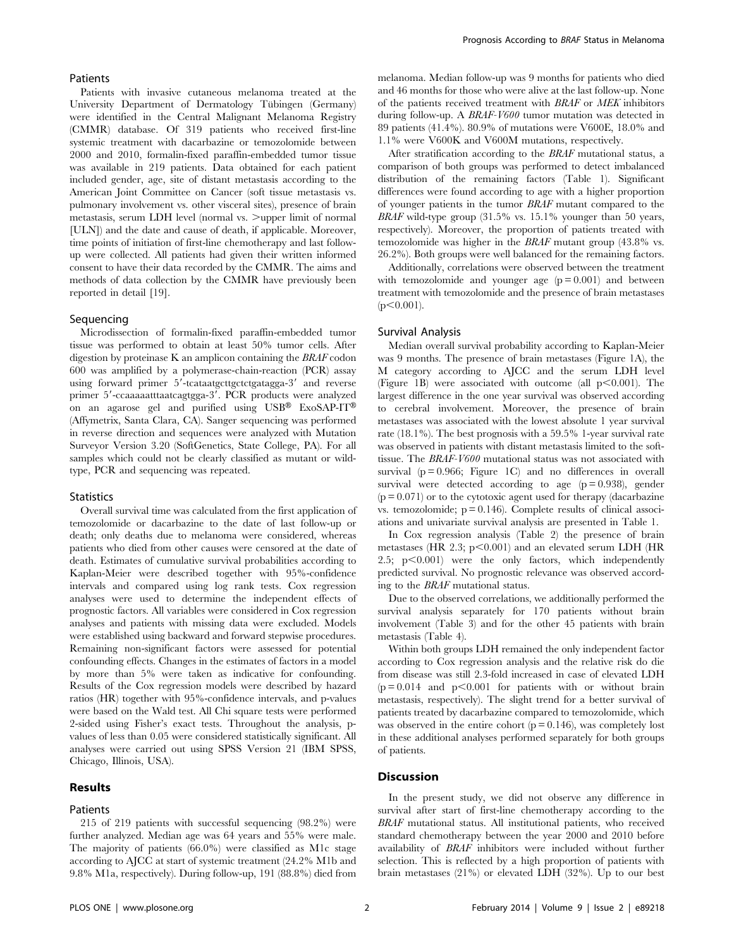## Patients

Patients with invasive cutaneous melanoma treated at the University Department of Dermatology Tübingen (Germany) were identified in the Central Malignant Melanoma Registry (CMMR) database. Of 319 patients who received first-line systemic treatment with dacarbazine or temozolomide between 2000 and 2010, formalin-fixed paraffin-embedded tumor tissue was available in 219 patients. Data obtained for each patient included gender, age, site of distant metastasis according to the American Joint Committee on Cancer (soft tissue metastasis vs. pulmonary involvement vs. other visceral sites), presence of brain metastasis, serum LDH level (normal vs.  $>$ upper limit of normal [ULN]) and the date and cause of death, if applicable. Moreover, time points of initiation of first-line chemotherapy and last followup were collected. All patients had given their written informed consent to have their data recorded by the CMMR. The aims and methods of data collection by the CMMR have previously been reported in detail [19].

# Sequencing

Microdissection of formalin-fixed paraffin-embedded tumor tissue was performed to obtain at least 50% tumor cells. After digestion by proteinase K an amplicon containing the BRAF codon 600 was amplified by a polymerase-chain-reaction (PCR) assay using forward primer 5'-tcataatgcttgctctgatagga-3' and reverse primer 5'-ccaaaaatttaatcagtgga-3'. PCR products were analyzed on an agarose gel and purified using  $\text{USB}^\circledast$  ExoSAP-IT® (Affymetrix, Santa Clara, CA). Sanger sequencing was performed in reverse direction and sequences were analyzed with Mutation Surveyor Version 3.20 (SoftGenetics, State College, PA). For all samples which could not be clearly classified as mutant or wildtype, PCR and sequencing was repeated.

#### **Statistics**

Overall survival time was calculated from the first application of temozolomide or dacarbazine to the date of last follow-up or death; only deaths due to melanoma were considered, whereas patients who died from other causes were censored at the date of death. Estimates of cumulative survival probabilities according to Kaplan-Meier were described together with 95%-confidence intervals and compared using log rank tests. Cox regression analyses were used to determine the independent effects of prognostic factors. All variables were considered in Cox regression analyses and patients with missing data were excluded. Models were established using backward and forward stepwise procedures. Remaining non-significant factors were assessed for potential confounding effects. Changes in the estimates of factors in a model by more than 5% were taken as indicative for confounding. Results of the Cox regression models were described by hazard ratios (HR) together with 95%-confidence intervals, and p-values were based on the Wald test. All Chi square tests were performed 2-sided using Fisher's exact tests. Throughout the analysis, pvalues of less than 0.05 were considered statistically significant. All analyses were carried out using SPSS Version 21 (IBM SPSS, Chicago, Illinois, USA).

# Results

# **Patients**

215 of 219 patients with successful sequencing (98.2%) were further analyzed. Median age was 64 years and 55% were male. The majority of patients (66.0%) were classified as M1c stage according to AJCC at start of systemic treatment (24.2% M1b and 9.8% M1a, respectively). During follow-up, 191 (88.8%) died from melanoma. Median follow-up was 9 months for patients who died and 46 months for those who were alive at the last follow-up. None of the patients received treatment with BRAF or MEK inhibitors during follow-up. A BRAF-V600 tumor mutation was detected in 89 patients (41.4%). 80.9% of mutations were V600E, 18.0% and 1.1% were V600K and V600M mutations, respectively.

After stratification according to the BRAF mutational status, a comparison of both groups was performed to detect imbalanced distribution of the remaining factors (Table 1). Significant differences were found according to age with a higher proportion of younger patients in the tumor BRAF mutant compared to the BRAF wild-type group  $(31.5\%$  vs. 15.1% younger than 50 years, respectively). Moreover, the proportion of patients treated with temozolomide was higher in the BRAF mutant group (43.8% vs. 26.2%). Both groups were well balanced for the remaining factors.

Additionally, correlations were observed between the treatment with temozolomide and younger age  $(p = 0.001)$  and between treatment with temozolomide and the presence of brain metastases  $(p<0.001)$ .

## Survival Analysis

Median overall survival probability according to Kaplan-Meier was 9 months. The presence of brain metastases (Figure 1A), the M category according to AJCC and the serum LDH level (Figure 1B) were associated with outcome (all  $p<0.001$ ). The largest difference in the one year survival was observed according to cerebral involvement. Moreover, the presence of brain metastases was associated with the lowest absolute 1 year survival rate (18.1%). The best prognosis with a 59.5% 1-year survival rate was observed in patients with distant metastasis limited to the softtissue. The BRAF-V600 mutational status was not associated with survival  $(p = 0.966;$  Figure 1C) and no differences in overall survival were detected according to age  $(p=0.938)$ , gender  $(p = 0.071)$  or to the cytotoxic agent used for therapy (dacarbazine  $v_s$ . temozolomide;  $p = 0.146$ ). Complete results of clinical associations and univariate survival analysis are presented in Table 1.

In Cox regression analysis (Table 2) the presence of brain metastases (HR 2.3;  $p<0.001$ ) and an elevated serum LDH (HR 2.5;  $p<0.001$ ) were the only factors, which independently predicted survival. No prognostic relevance was observed according to the BRAF mutational status.

Due to the observed correlations, we additionally performed the survival analysis separately for 170 patients without brain involvement (Table 3) and for the other 45 patients with brain metastasis (Table 4).

Within both groups LDH remained the only independent factor according to Cox regression analysis and the relative risk do die from disease was still 2.3-fold increased in case of elevated LDH  $(p = 0.014$  and  $p < 0.001$  for patients with or without brain metastasis, respectively). The slight trend for a better survival of patients treated by dacarbazine compared to temozolomide, which was observed in the entire cohort  $(p = 0.146)$ , was completely lost in these additional analyses performed separately for both groups of patients.

# Discussion

In the present study, we did not observe any difference in survival after start of first-line chemotherapy according to the BRAF mutational status. All institutional patients, who received standard chemotherapy between the year 2000 and 2010 before availability of BRAF inhibitors were included without further selection. This is reflected by a high proportion of patients with brain metastases (21%) or elevated LDH (32%). Up to our best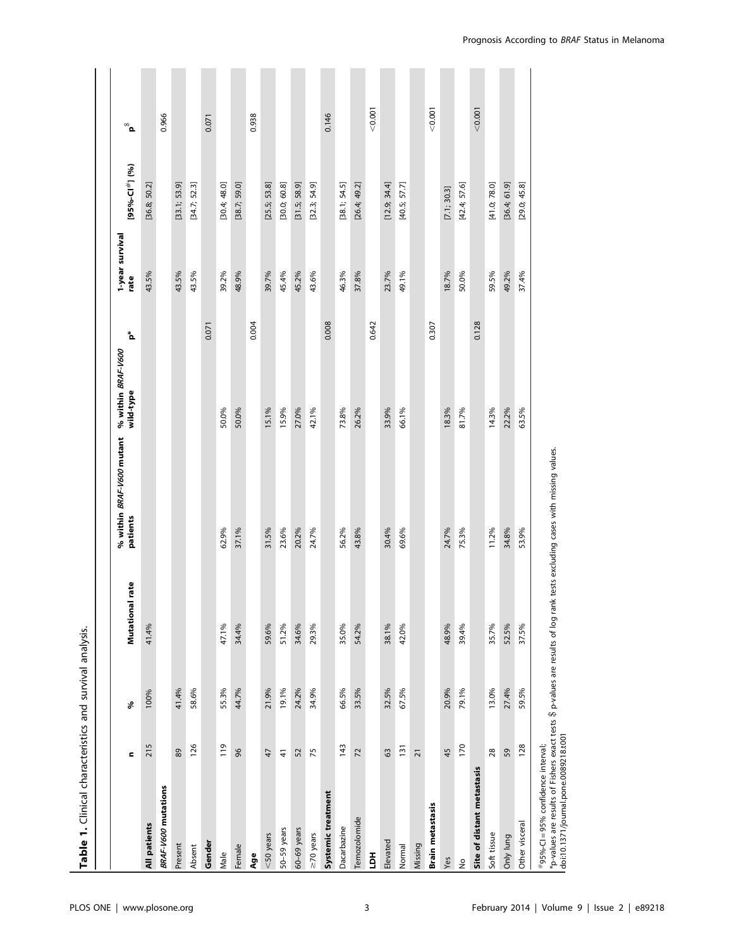| Table 1. Clinical characteristics and survival analysis. |                 |       |                 |                                              |                                                   |                         |                            |                           |
|----------------------------------------------------------|-----------------|-------|-----------------|----------------------------------------------|---------------------------------------------------|-------------------------|----------------------------|---------------------------|
|                                                          | $\blacksquare$  | ళ     | Mutational rate | % within <i>BRAF-V600</i> mutant<br>patients | $\mathbf{b}^*$<br>% within BRAF-V600<br>wild-type | 1-year survival<br>rate | [95%-Cl <sup>#</sup> ] (%) | $\mathbf{a}^{\circ\circ}$ |
| All patients                                             | 215             | 100%  | 41.4%           |                                              |                                                   | 43.5%                   | [36.8; 50.2]               |                           |
| <b>BRAF-V600</b> mutations                               |                 |       |                 |                                              |                                                   |                         |                            | 0.966                     |
| Present                                                  | 89              | 41.4% |                 |                                              |                                                   | 43.5%                   | [33.1; 53.9]               |                           |
| Absent                                                   | 126             | 58.6% |                 |                                              |                                                   | 43.5%                   | [34.7; 52.3]               |                           |
| Gender                                                   |                 |       |                 |                                              |                                                   | 0.071                   |                            | 0.071                     |
| Male                                                     | 119             | 55.3% | 47.1%           | 62.9%                                        | 50.0%                                             | 39.2%                   | [30.4; 48.0]               |                           |
| Female                                                   | 96              | 44.7% | 34.4%           | 37.1%                                        | 50.0%                                             | 48.9%                   | [38.7; 59.0]               |                           |
| Age                                                      |                 |       |                 |                                              |                                                   | 0.004                   |                            | 0.938                     |
| $<$ 50 years                                             | 47              | 21.9% | 59.6%           | 31.5%                                        | 15.1%                                             | 39.7%                   | [25.5; 53.8]               |                           |
| 50-59 years                                              | $\frac{4}{3}$   | 19.1% | 51.2%           | 23.6%                                        | 15.9%                                             | 45.4%                   | [30.0; 60.8]               |                           |
| 60-69 years                                              | 52              | 24.2% | 34.6%           | 20.2%                                        | 27.0%                                             | 45.2%                   | [31.5; 58.9]               |                           |
| $\geq$ 70 years                                          | 75              | 34.9% | 29.3%           | 24.7%                                        | 42.1%                                             | 43.6%                   | [32.3; 54.9]               |                           |
| Systemic treatment                                       |                 |       |                 |                                              |                                                   | 0.008                   |                            | 0.146                     |
| Dacarbazine                                              | 143             | 66.5% | 35.0%           | 56.2%                                        | 73.8%                                             | 46.3%                   | [38.1; 54.5]               |                           |
| Temozolomide                                             | $\overline{z}$  | 33.5% | 54.2%           | 43.8%                                        | 26.2%                                             | 37.8%                   | [26.4; 49.2]               |                           |
| $\overline{5}$                                           |                 |       |                 |                                              |                                                   | 0.642                   |                            | < 0.001                   |
| Elevated                                                 | 63              | 32.5% | 38.1%           | 30.4%                                        | 33.9%                                             | 23.7%                   | [12.9; 34.4]               |                           |
| Normal                                                   | 131             | 67.5% | 42.0%           | 69.6%                                        | 66.1%                                             | 49.1%                   | [40.5; 57.7]               |                           |
| Missing                                                  | $\overline{2}1$ |       |                 |                                              |                                                   |                         |                            |                           |
| Brain metastasis                                         |                 |       |                 |                                              |                                                   | 0.307                   |                            | < 0.001                   |
| Yes                                                      | 45              | 20.9% | 48.9%           | 24.7%                                        | 18.3%                                             | 18.7%                   | [7.1; 30.3]                |                           |
| $\frac{1}{2}$                                            | 170             | 79.1% | 39.4%           | 75.3%                                        | 81.7%                                             | 50.0%                   | [42.4; 57.6]               |                           |
| Site of distant metastasis                               |                 |       |                 |                                              |                                                   | 0.128                   |                            | < 0.001                   |
| Soft tissue                                              | 28              | 13.0% | 35.7%           | 11.2%                                        | 14.3%                                             | 59.5%                   | [41.0; 78.0]               |                           |
| Only lung                                                | 59              | 27.4% | 52.5%           | 34.8%                                        | 22.2%                                             | 49.2%                   | [36.4; 61.9]               |                           |
| Other visceral                                           | 128             | 59.5% | 37.5%           | 53.9%                                        | 63.5%                                             | 37.4%                   | [29.0; 45.8]               |                           |
|                                                          |                 |       |                 |                                              |                                                   |                         |                            |                           |

#95%-CI=95% confidence interval;<br>\*p-values are results of Fishers exact tests \$ p-values are results of log rank tests excluding cases with missing values.<br>|doi:10.1371/journal.pone.0089218.t001 \*p-values are results of Fishers exact tests \$ p-values are results of log rank tests excluding cases with missing values. doi:10.1371/journal.pone.0089218.t001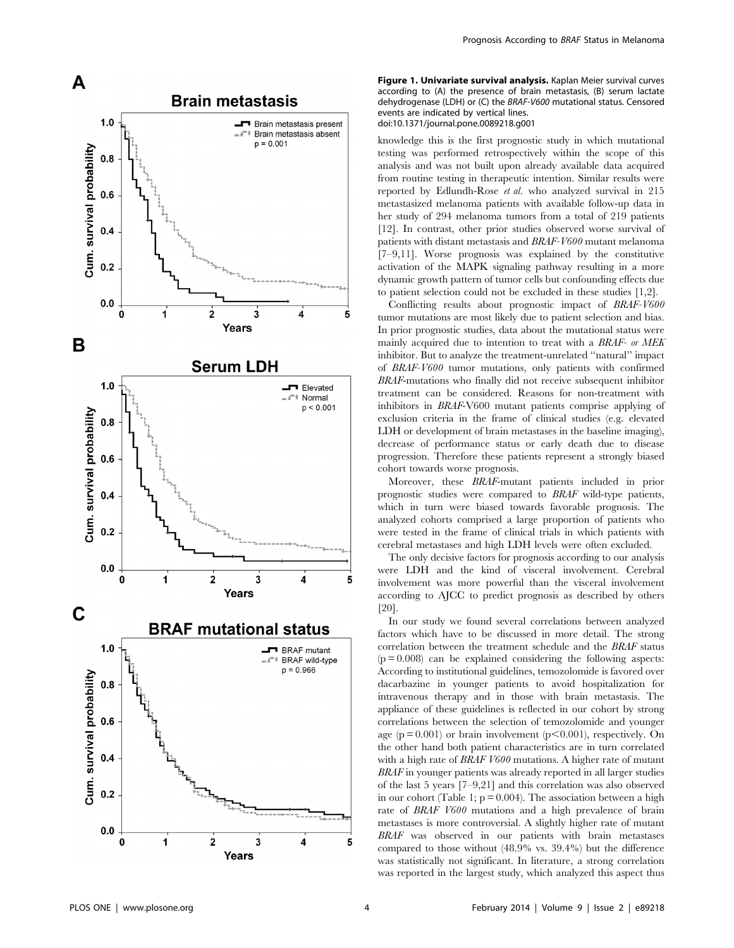

Figure 1. Univariate survival analysis. Kaplan Meier survival curves according to (A) the presence of brain metastasis, (B) serum lactate dehydrogenase (LDH) or (C) the BRAF-V600 mutational status. Censored events are indicated by vertical lines. doi:10.1371/journal.pone.0089218.g001

knowledge this is the first prognostic study in which mutational testing was performed retrospectively within the scope of this analysis and was not built upon already available data acquired from routine testing in therapeutic intention. Similar results were reported by Edlundh-Rose et al. who analyzed survival in 215 metastasized melanoma patients with available follow-up data in her study of 294 melanoma tumors from a total of 219 patients [12]. In contrast, other prior studies observed worse survival of patients with distant metastasis and BRAF-V600 mutant melanoma [7–9,11]. Worse prognosis was explained by the constitutive activation of the MAPK signaling pathway resulting in a more dynamic growth pattern of tumor cells but confounding effects due to patient selection could not be excluded in these studies [1,2].

Conflicting results about prognostic impact of BRAF-V600 tumor mutations are most likely due to patient selection and bias. In prior prognostic studies, data about the mutational status were mainly acquired due to intention to treat with a BRAF- or MEK inhibitor. But to analyze the treatment-unrelated ''natural'' impact of BRAF-V600 tumor mutations, only patients with confirmed BRAF-mutations who finally did not receive subsequent inhibitor treatment can be considered. Reasons for non-treatment with inhibitors in BRAF-V600 mutant patients comprise applying of exclusion criteria in the frame of clinical studies (e.g. elevated LDH or development of brain metastases in the baseline imaging), decrease of performance status or early death due to disease progression. Therefore these patients represent a strongly biased cohort towards worse prognosis.

Moreover, these BRAF-mutant patients included in prior prognostic studies were compared to BRAF wild-type patients, which in turn were biased towards favorable prognosis. The analyzed cohorts comprised a large proportion of patients who were tested in the frame of clinical trials in which patients with cerebral metastases and high LDH levels were often excluded.

The only decisive factors for prognosis according to our analysis were LDH and the kind of visceral involvement. Cerebral involvement was more powerful than the visceral involvement according to AJCC to predict prognosis as described by others [20].

In our study we found several correlations between analyzed factors which have to be discussed in more detail. The strong correlation between the treatment schedule and the BRAF status  $(p = 0.008)$  can be explained considering the following aspects: According to institutional guidelines, temozolomide is favored over dacarbazine in younger patients to avoid hospitalization for intravenous therapy and in those with brain metastasis. The appliance of these guidelines is reflected in our cohort by strong correlations between the selection of temozolomide and younger age ( $p = 0.001$ ) or brain involvement ( $p \le 0.001$ ), respectively. On the other hand both patient characteristics are in turn correlated with a high rate of BRAF V600 mutations. A higher rate of mutant BRAF in younger patients was already reported in all larger studies of the last 5 years [7–9,21] and this correlation was also observed in our cohort (Table 1;  $p = 0.004$ ). The association between a high rate of BRAF V600 mutations and a high prevalence of brain metastases is more controversial. A slightly higher rate of mutant BRAF was observed in our patients with brain metastases compared to those without (48.9% vs. 39.4%) but the difference was statistically not significant. In literature, a strong correlation was reported in the largest study, which analyzed this aspect thus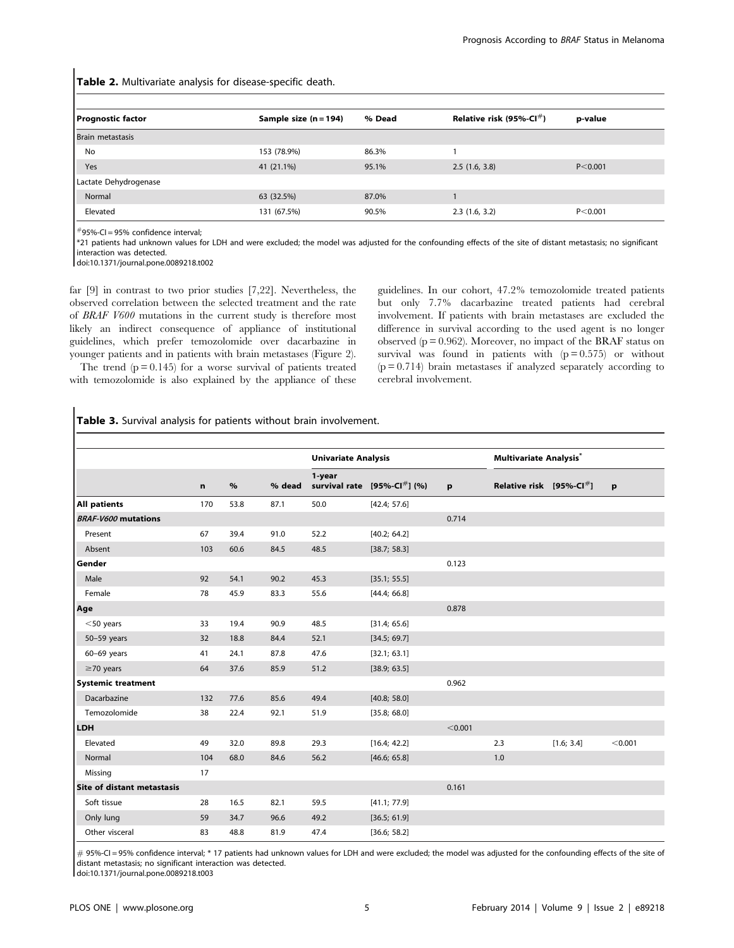Table 2. Multivariate analysis for disease-specific death.

| <b>Prognostic factor</b> | Sample size (n = 194) | % Dead | Relative risk (95%-Cl $#$ ) | p-value   |  |
|--------------------------|-----------------------|--------|-----------------------------|-----------|--|
| Brain metastasis         |                       |        |                             |           |  |
| No                       | 153 (78.9%)           | 86.3%  |                             |           |  |
| Yes                      | 41 (21.1%)            | 95.1%  | 2.5(1.6, 3.8)               | P < 0.001 |  |
| Lactate Dehydrogenase    |                       |        |                             |           |  |
| Normal                   | 63 (32.5%)            | 87.0%  |                             |           |  |
| Elevated                 | 131 (67.5%)           | 90.5%  | 2.3(1.6, 3.2)               | P < 0.001 |  |

 $#$ 95%-CI = 95% confidence interval;

\*21 patients had unknown values for LDH and were excluded; the model was adjusted for the confounding effects of the site of distant metastasis; no significant interaction was detected.

doi:10.1371/journal.pone.0089218.t002

far [9] in contrast to two prior studies [7,22]. Nevertheless, the observed correlation between the selected treatment and the rate of BRAF V600 mutations in the current study is therefore most likely an indirect consequence of appliance of institutional guidelines, which prefer temozolomide over dacarbazine in younger patients and in patients with brain metastases (Figure 2).

The trend  $(p = 0.145)$  for a worse survival of patients treated with temozolomide is also explained by the appliance of these guidelines. In our cohort, 47.2% temozolomide treated patients but only 7.7% dacarbazine treated patients had cerebral involvement. If patients with brain metastases are excluded the difference in survival according to the used agent is no longer observed ( $p = 0.962$ ). Moreover, no impact of the BRAF status on survival was found in patients with  $(p = 0.575)$  or without  $(p = 0.714)$  brain metastases if analyzed separately according to cerebral involvement.

Table 3. Survival analysis for patients without brain involvement.

|                            |     |      |        | <b>Univariate Analysis</b> |                                      |         | <b>Multivariate Analysis</b> *  |            |              |
|----------------------------|-----|------|--------|----------------------------|--------------------------------------|---------|---------------------------------|------------|--------------|
|                            | n   | $\%$ | % dead | 1-year                     | survival rate $[95\% - CI^{\#}]$ (%) | p       | Relative risk $[95% - CI^{\#}]$ |            | $\mathbf{p}$ |
| <b>All patients</b>        | 170 | 53.8 | 87.1   | 50.0                       | [42.4; 57.6]                         |         |                                 |            |              |
| <b>BRAF-V600 mutations</b> |     |      |        |                            |                                      | 0.714   |                                 |            |              |
| Present                    | 67  | 39.4 | 91.0   | 52.2                       | [40.2; 64.2]                         |         |                                 |            |              |
| Absent                     | 103 | 60.6 | 84.5   | 48.5                       | [38.7; 58.3]                         |         |                                 |            |              |
| Gender                     |     |      |        |                            |                                      | 0.123   |                                 |            |              |
| Male                       | 92  | 54.1 | 90.2   | 45.3                       | [35.1; 55.5]                         |         |                                 |            |              |
| Female                     | 78  | 45.9 | 83.3   | 55.6                       | [44.4; 66.8]                         |         |                                 |            |              |
| Age                        |     |      |        |                            |                                      | 0.878   |                                 |            |              |
| $<$ 50 years               | 33  | 19.4 | 90.9   | 48.5                       | [31.4; 65.6]                         |         |                                 |            |              |
| 50-59 years                | 32  | 18.8 | 84.4   | 52.1                       | [34.5; 69.7]                         |         |                                 |            |              |
| $60-69$ years              | 41  | 24.1 | 87.8   | 47.6                       | [32.1; 63.1]                         |         |                                 |            |              |
| $\geq$ 70 years            | 64  | 37.6 | 85.9   | 51.2                       | [38.9; 63.5]                         |         |                                 |            |              |
| <b>Systemic treatment</b>  |     |      |        |                            |                                      | 0.962   |                                 |            |              |
| Dacarbazine                | 132 | 77.6 | 85.6   | 49.4                       | [40.8; 58.0]                         |         |                                 |            |              |
| Temozolomide               | 38  | 22.4 | 92.1   | 51.9                       | [35.8; 68.0]                         |         |                                 |            |              |
| <b>LDH</b>                 |     |      |        |                            |                                      | < 0.001 |                                 |            |              |
| Elevated                   | 49  | 32.0 | 89.8   | 29.3                       | [16.4; 42.2]                         |         | 2.3                             | [1.6; 3.4] | < 0.001      |
| Normal                     | 104 | 68.0 | 84.6   | 56.2                       | [46.6; 65.8]                         |         | 1.0                             |            |              |
| Missing                    | 17  |      |        |                            |                                      |         |                                 |            |              |
| Site of distant metastasis |     |      |        |                            |                                      | 0.161   |                                 |            |              |
| Soft tissue                | 28  | 16.5 | 82.1   | 59.5                       | [41.1; 77.9]                         |         |                                 |            |              |
| Only lung                  | 59  | 34.7 | 96.6   | 49.2                       | [36.5; 61.9]                         |         |                                 |            |              |
| Other visceral             | 83  | 48.8 | 81.9   | 47.4                       | [36.6; 58.2]                         |         |                                 |            |              |

 $\#$  95%-CI = 95% confidence interval; \* 17 patients had unknown values for LDH and were excluded; the model was adjusted for the confounding effects of the site of distant metastasis; no significant interaction was detected.

doi:10.1371/journal.pone.0089218.t003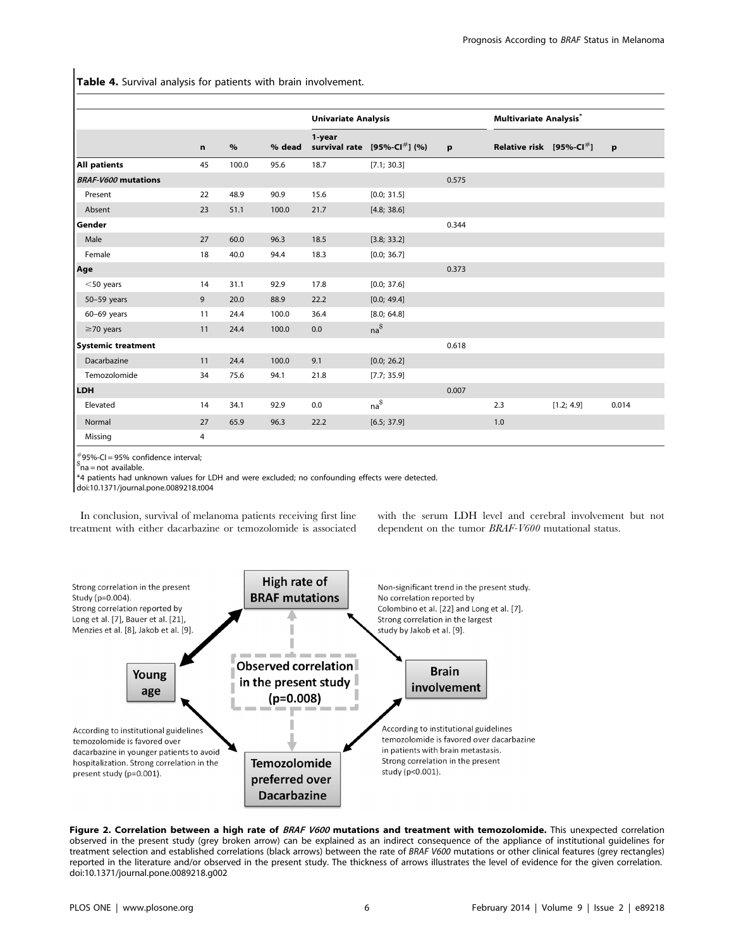Table 4. Survival analysis for patients with brain involvement.

|                            |             |       |        | <b>Univariate Analysis</b> |                                     |       | <b>Multivariate Analysis</b> *   |            |              |
|----------------------------|-------------|-------|--------|----------------------------|-------------------------------------|-------|----------------------------------|------------|--------------|
|                            | $\mathbf n$ | $\%$  | % dead | 1-year                     | survival rate $[95% - CI^{\#}]$ (%) | p     | Relative risk $[95\% - CI^{\#}]$ |            | $\mathbf{p}$ |
| All patients               | 45          | 100.0 | 95.6   | 18.7                       | [7.1; 30.3]                         |       |                                  |            |              |
| <b>BRAF-V600 mutations</b> |             |       |        |                            |                                     | 0.575 |                                  |            |              |
| Present                    | 22          | 48.9  | 90.9   | 15.6                       | [0.0; 31.5]                         |       |                                  |            |              |
| Absent                     | 23          | 51.1  | 100.0  | 21.7                       | [4.8; 38.6]                         |       |                                  |            |              |
| Gender                     |             |       |        |                            |                                     | 0.344 |                                  |            |              |
| Male                       | 27          | 60.0  | 96.3   | 18.5                       | [3.8; 33.2]                         |       |                                  |            |              |
| Female                     | 18          | 40.0  | 94.4   | 18.3                       | [0.0; 36.7]                         |       |                                  |            |              |
| Age                        |             |       |        |                            |                                     | 0.373 |                                  |            |              |
| $<$ 50 years               | 14          | 31.1  | 92.9   | 17.8                       | [0.0; 37.6]                         |       |                                  |            |              |
| 50-59 years                | 9           | 20.0  | 88.9   | 22.2                       | [0.0; 49.4]                         |       |                                  |            |              |
| $60-69$ years              | 11          | 24.4  | 100.0  | 36.4                       | [8.0; 64.8]                         |       |                                  |            |              |
| $\geq$ 70 years            | 11          | 24.4  | 100.0  | 0.0                        | $na^{\$}$                           |       |                                  |            |              |
| <b>Systemic treatment</b>  |             |       |        |                            |                                     | 0.618 |                                  |            |              |
| Dacarbazine                | 11          | 24.4  | 100.0  | 9.1                        | [0.0; 26.2]                         |       |                                  |            |              |
| Temozolomide               | 34          | 75.6  | 94.1   | 21.8                       | [7.7; 35.9]                         |       |                                  |            |              |
| <b>LDH</b>                 |             |       |        |                            |                                     | 0.007 |                                  |            |              |
| Elevated                   | 14          | 34.1  | 92.9   | 0.0                        | $na^{\$}$                           |       | 2.3                              | [1.2; 4.9] | 0.014        |
| Normal                     | 27          | 65.9  | 96.3   | 22.2                       | [6.5; 37.9]                         |       | 1.0                              |            |              |
| Missing                    | 4           |       |        |                            |                                     |       |                                  |            |              |

 $^{#}_{2}$ 95%-CI = 95% confidence interval;

 $an^2$  na = not available.

\*4 patients had unknown values for LDH and were excluded; no confounding effects were detected.

doi:10.1371/journal.pone.0089218.t004

In conclusion, survival of melanoma patients receiving first line treatment with either dacarbazine or temozolomide is associated with the serum LDH level and cerebral involvement but not dependent on the tumor BRAF-V600 mutational status.



Figure 2. Correlation between a high rate of BRAF V600 mutations and treatment with temozolomide. This unexpected correlation observed in the present study (grey broken arrow) can be explained as an indirect consequence of the appliance of institutional guidelines for treatment selection and established correlations (black arrows) between the rate of BRAF V600 mutations or other clinical features (grey rectangles) reported in the literature and/or observed in the present study. The thickness of arrows illustrates the level of evidence for the given correlation. doi:10.1371/journal.pone.0089218.g002